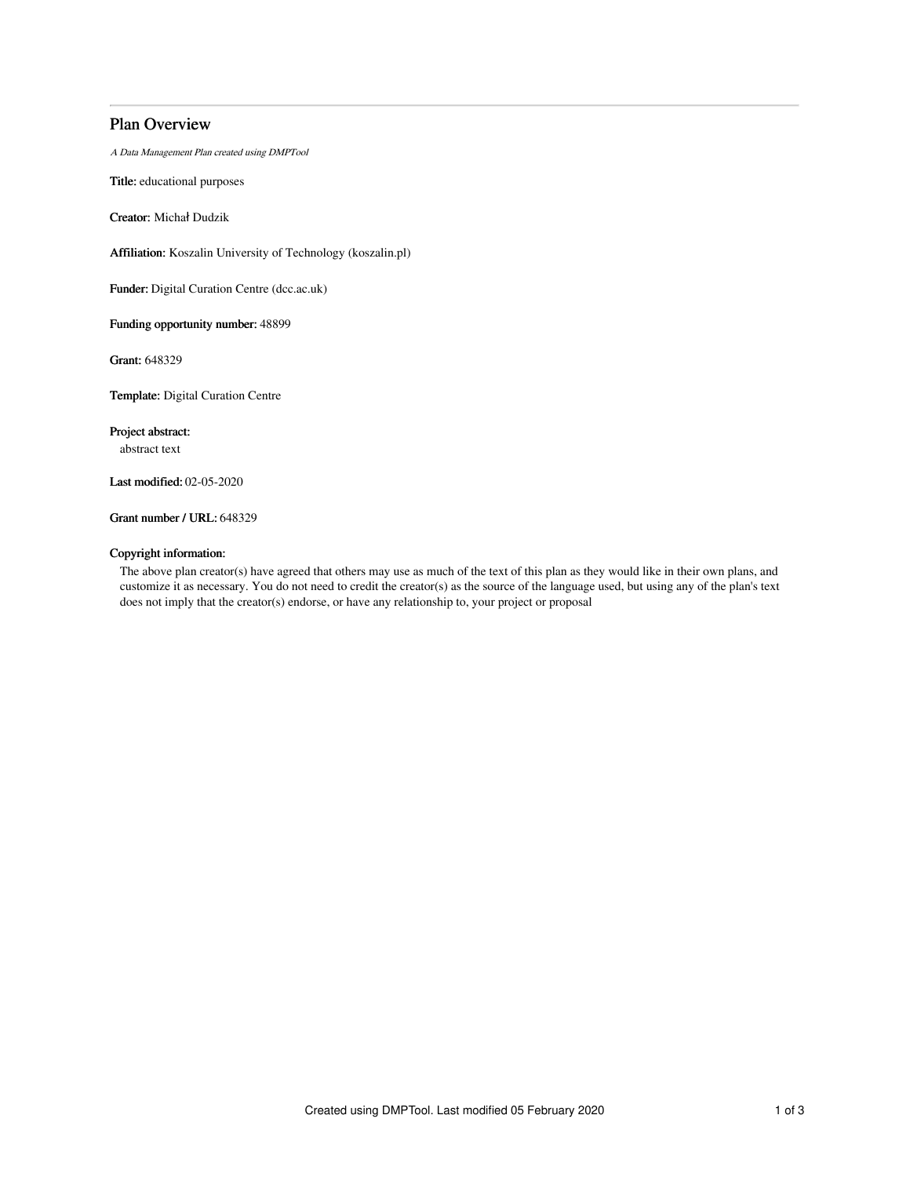# Plan Overview

A Data Management Plan created using DMPTool

Title: educational purposes

Creator: Michał Dudzik

Affiliation: Koszalin University of Technology (koszalin.pl)

Funder: Digital Curation Centre (dcc.ac.uk)

Funding opportunity number: 48899

Grant: 648329

Template: Digital Curation Centre

Project abstract:

abstract text

Last modified: 02-05-2020

## Grant number / URL: 648329

### Copyright information:

The above plan creator(s) have agreed that others may use as much of the text of this plan as they would like in their own plans, and customize it as necessary. You do not need to credit the creator(s) as the source of the language used, but using any of the plan's text does not imply that the creator(s) endorse, or have any relationship to, your project or proposal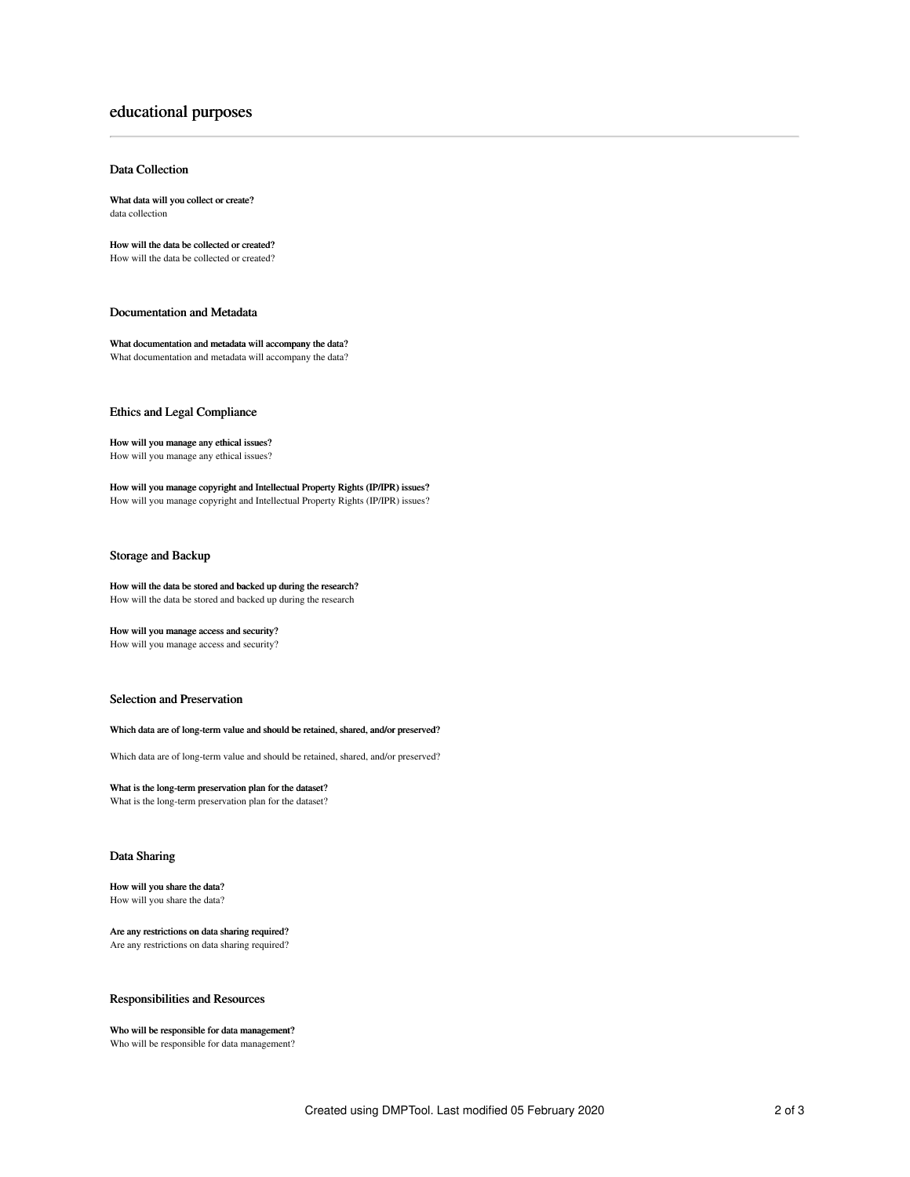# educational purposes

### Data Collection

What data will you collect or create? data collection

How will the data be collected or created? How will the data be collected or created?

### Documentation and Metadata

What documentation and metadata will accompany the data? What documentation and metadata will accompany the data?

#### Ethics and Legal Compliance

How will you manage any ethical issues? How will you manage any ethical issues?

How will you manage copyright and Intellectual Property Rights (IP/IPR) issues? How will you manage copyright and Intellectual Property Rights (IP/IPR) issues?

## Storage and Backup

How will the data be stored and backed up during the research? How will the data be stored and backed up during the research

How will you manage access and security?

How will you manage access and security?

### Selection and Preservation

#### Which data are of long-term value and should be retained, shared, and/or preserved?

Which data are of long-term value and should be retained, shared, and/or preserved?

#### What is the long-term preservation plan for the dataset? What is the long-term preservation plan for the dataset?

## Data Sharing

#### How will you share the data? How will you share the data?

Are any restrictions on data sharing required? Are any restrictions on data sharing required?

## Responsibilities and Resources

## Who will be responsible for data management?

Who will be responsible for data management?